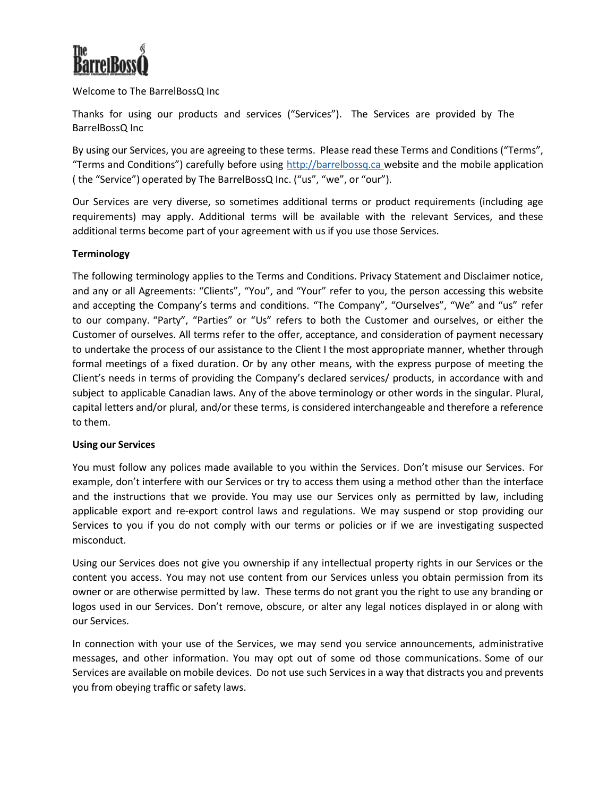

Welcome to The BarrelBossQ Inc

Thanks for using our products and services ("Services"). The Services are provided by The BarrelBossQ Inc

By using our Services, you are agreeing to these terms. Please read these Terms and Conditions ("Terms", "Terms and Conditions") carefully before using http://barrelbossq.ca website and the mobile application ( the "Service") operated by The BarrelBossQ Inc. ("us", "we", or "our").

Our Services are very diverse, so sometimes additional terms or product requirements (including age requirements) may apply. Additional terms will be available with the relevant Services, and these additional terms become part of your agreement with us if you use those Services.

# **Terminology**

The following terminology applies to the Terms and Conditions. Privacy Statement and Disclaimer notice, and any or all Agreements: "Clients", "You", and "Your" refer to you, the person accessing this website and accepting the Company's terms and conditions. "The Company", "Ourselves", "We" and "us" refer to our company. "Party", "Parties" or "Us" refers to both the Customer and ourselves, or either the Customer of ourselves. All terms refer to the offer, acceptance, and consideration of payment necessary to undertake the process of our assistance to the Client I the most appropriate manner, whether through formal meetings of a fixed duration. Or by any other means, with the express purpose of meeting the Client's needs in terms of providing the Company's declared services/ products, in accordance with and subject to applicable Canadian laws. Any of the above terminology or other words in the singular. Plural, capital letters and/or plural, and/or these terms, is considered interchangeable and therefore a reference to them.

#### **Using our Services**

You must follow any polices made available to you within the Services. Don't misuse our Services. For example, don't interfere with our Services or try to access them using a method other than the interface and the instructions that we provide. You may use our Services only as permitted by law, including applicable export and re-export control laws and regulations. We may suspend or stop providing our Services to you if you do not comply with our terms or policies or if we are investigating suspected misconduct.

Using our Services does not give you ownership if any intellectual property rights in our Services or the content you access. You may not use content from our Services unless you obtain permission from its owner or are otherwise permitted by law. These terms do not grant you the right to use any branding or logos used in our Services. Don't remove, obscure, or alter any legal notices displayed in or along with our Services.

In connection with your use of the Services, we may send you service announcements, administrative messages, and other information. You may opt out of some od those communications. Some of our Services are available on mobile devices. Do not use such Services in a way that distracts you and prevents you from obeying traffic or safety laws.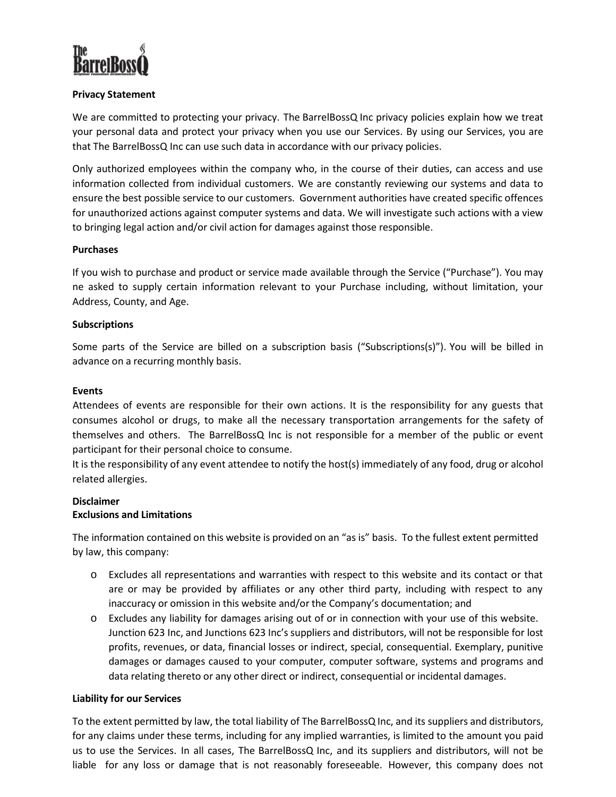

# **Privacy Statement**

We are committed to protecting your privacy. The BarrelBossQ Inc privacy policies explain how we treat your personal data and protect your privacy when you use our Services. By using our Services, you are that The BarrelBossQ Inc can use such data in accordance with our privacy policies.

Only authorized employees within the company who, in the course of their duties, can access and use information collected from individual customers. We are constantly reviewing our systems and data to ensure the best possible service to our customers. Government authorities have created specific offences for unauthorized actions against computer systems and data. We will investigate such actions with a view to bringing legal action and/or civil action for damages against those responsible.

# **Purchases**

If you wish to purchase and product or service made available through the Service ("Purchase"). You may ne asked to supply certain information relevant to your Purchase including, without limitation, your Address, County, and Age.

# **Subscriptions**

Some parts of the Service are billed on a subscription basis ("Subscriptions(s)"). You will be billed in advance on a recurring monthly basis.

# **Events**

Attendees of events are responsible for their own actions. It is the responsibility for any guests that consumes alcohol or drugs, to make all the necessary transportation arrangements for the safety of themselves and others. The BarrelBossQ Inc is not responsible for a member of the public or event participant for their personal choice to consume.

It is the responsibility of any event attendee to notify the host(s) immediately of any food, drug or alcohol related allergies.

# **Disclaimer**

# **Exclusions and Limitations**

The information contained on this website is provided on an "as is" basis. To the fullest extent permitted by law, this company:

- o Excludes all representations and warranties with respect to this website and its contact or that are or may be provided by affiliates or any other third party, including with respect to any inaccuracy or omission in this website and/or the Company's documentation; and
- o Excludes any liability for damages arising out of or in connection with your use of this website. Junction 623 Inc, and Junctions 623 Inc's suppliers and distributors, will not be responsible for lost profits, revenues, or data, financial losses or indirect, special, consequential. Exemplary, punitive damages or damages caused to your computer, computer software, systems and programs and data relating thereto or any other direct or indirect, consequential or incidental damages.

# **Liability for our Services**

To the extent permitted by law, the total liability of The BarrelBossQ Inc, and its suppliers and distributors, for any claims under these terms, including for any implied warranties, is limited to the amount you paid us to use the Services. In all cases, The BarrelBossQ Inc, and its suppliers and distributors, will not be liable for any loss or damage that is not reasonably foreseeable. However, this company does not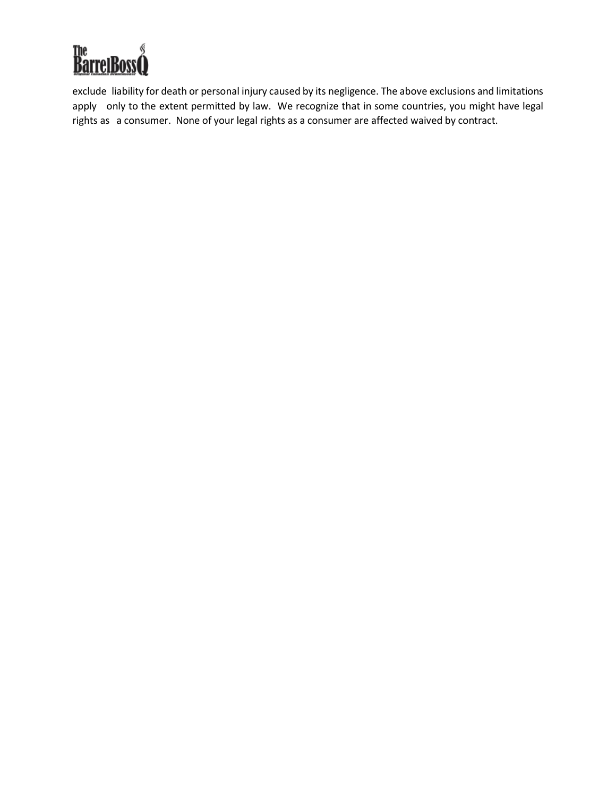

exclude liability for death or personal injury caused by its negligence. The above exclusions and limitations apply only to the extent permitted by law. We recognize that in some countries, you might have legal rights as a consumer. None of your legal rights as a consumer are affected waived by contract.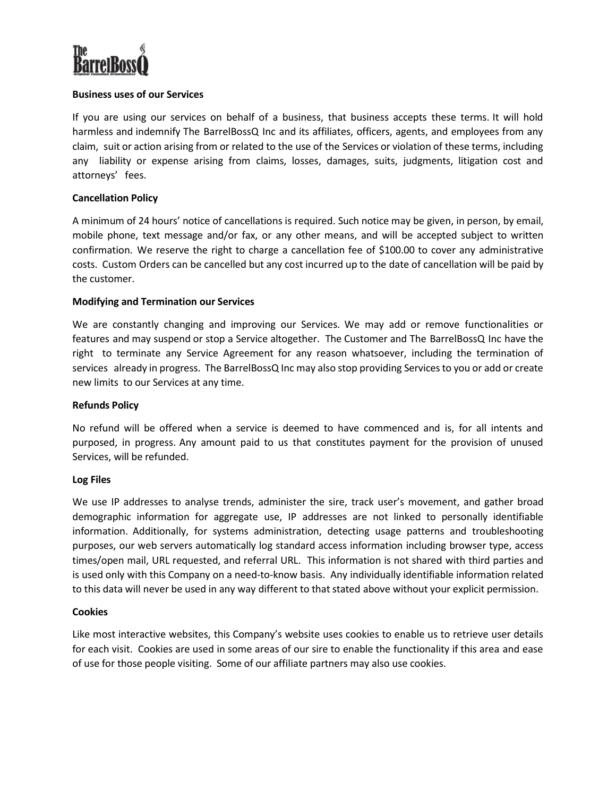

# **Business uses of our Services**

If you are using our services on behalf of a business, that business accepts these terms. It will hold harmless and indemnify The BarrelBossQ Inc and its affiliates, officers, agents, and employees from any claim, suit or action arising from or related to the use of the Services or violation of these terms, including any liability or expense arising from claims, losses, damages, suits, judgments, litigation cost and attorneys' fees.

### **Cancellation Policy**

A minimum of 24 hours' notice of cancellations is required. Such notice may be given, in person, by email, mobile phone, text message and/or fax, or any other means, and will be accepted subject to written confirmation. We reserve the right to charge a cancellation fee of \$100.00 to cover any administrative costs. Custom Orders can be cancelled but any cost incurred up to the date of cancellation will be paid by the customer.

### **Modifying and Termination our Services**

We are constantly changing and improving our Services. We may add or remove functionalities or features and may suspend or stop a Service altogether. The Customer and The BarrelBossQ Inc have the right to terminate any Service Agreement for any reason whatsoever, including the termination of services already in progress. The BarrelBossQ Inc may also stop providing Services to you or add or create new limits to our Services at any time.

#### **Refunds Policy**

No refund will be offered when a service is deemed to have commenced and is, for all intents and purposed, in progress. Any amount paid to us that constitutes payment for the provision of unused Services, will be refunded.

#### **Log Files**

We use IP addresses to analyse trends, administer the sire, track user's movement, and gather broad demographic information for aggregate use, IP addresses are not linked to personally identifiable information. Additionally, for systems administration, detecting usage patterns and troubleshooting purposes, our web servers automatically log standard access information including browser type, access times/open mail, URL requested, and referral URL. This information is not shared with third parties and is used only with this Company on a need-to-know basis. Any individually identifiable information related to this data will never be used in any way different to that stated above without your explicit permission.

#### **Cookies**

Like most interactive websites, this Company's website uses cookies to enable us to retrieve user details for each visit. Cookies are used in some areas of our sire to enable the functionality if this area and ease of use for those people visiting. Some of our affiliate partners may also use cookies.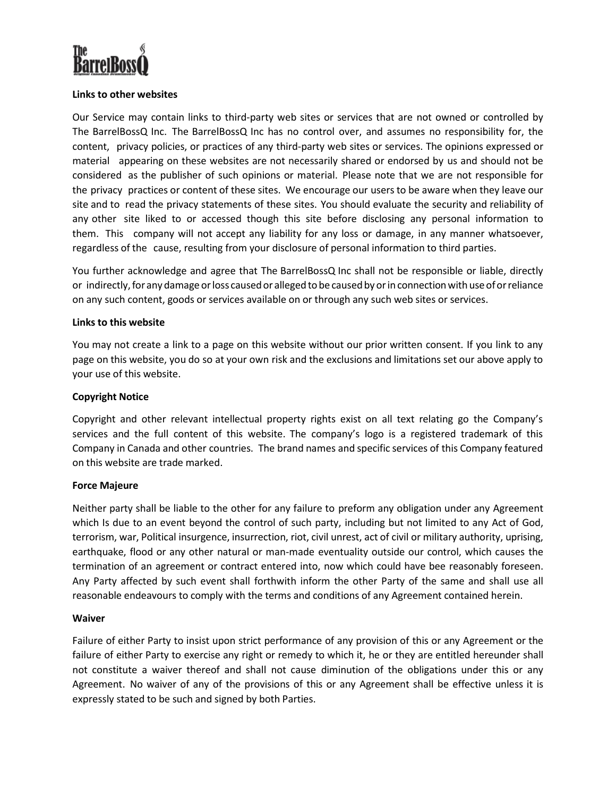

### **Links to other websites**

Our Service may contain links to third-party web sites or services that are not owned or controlled by The BarrelBossQ Inc. The BarrelBossQ Inc has no control over, and assumes no responsibility for, the content, privacy policies, or practices of any third-party web sites or services. The opinions expressed or material appearing on these websites are not necessarily shared or endorsed by us and should not be considered as the publisher of such opinions or material. Please note that we are not responsible for the privacy practices or content of these sites. We encourage our users to be aware when they leave our site and to read the privacy statements of these sites. You should evaluate the security and reliability of any other site liked to or accessed though this site before disclosing any personal information to them. This company will not accept any liability for any loss or damage, in any manner whatsoever, regardless of the cause, resulting from your disclosure of personal information to third parties.

You further acknowledge and agree that The BarrelBossQ Inc shall not be responsible or liable, directly or indirectly, for any damage or loss caused or alleged to be caused by or in connection with use of or reliance on any such content, goods or services available on or through any such web sites or services.

#### **Links to this website**

You may not create a link to a page on this website without our prior written consent. If you link to any page on this website, you do so at your own risk and the exclusions and limitations set our above apply to your use of this website.

### **Copyright Notice**

Copyright and other relevant intellectual property rights exist on all text relating go the Company's services and the full content of this website. The company's logo is a registered trademark of this Company in Canada and other countries. The brand names and specific services of this Company featured on this website are trade marked.

#### **Force Majeure**

Neither party shall be liable to the other for any failure to preform any obligation under any Agreement which Is due to an event beyond the control of such party, including but not limited to any Act of God, terrorism, war, Political insurgence, insurrection, riot, civil unrest, act of civil or military authority, uprising, earthquake, flood or any other natural or man-made eventuality outside our control, which causes the termination of an agreement or contract entered into, now which could have bee reasonably foreseen. Any Party affected by such event shall forthwith inform the other Party of the same and shall use all reasonable endeavours to comply with the terms and conditions of any Agreement contained herein.

#### **Waiver**

Failure of either Party to insist upon strict performance of any provision of this or any Agreement or the failure of either Party to exercise any right or remedy to which it, he or they are entitled hereunder shall not constitute a waiver thereof and shall not cause diminution of the obligations under this or any Agreement. No waiver of any of the provisions of this or any Agreement shall be effective unless it is expressly stated to be such and signed by both Parties.